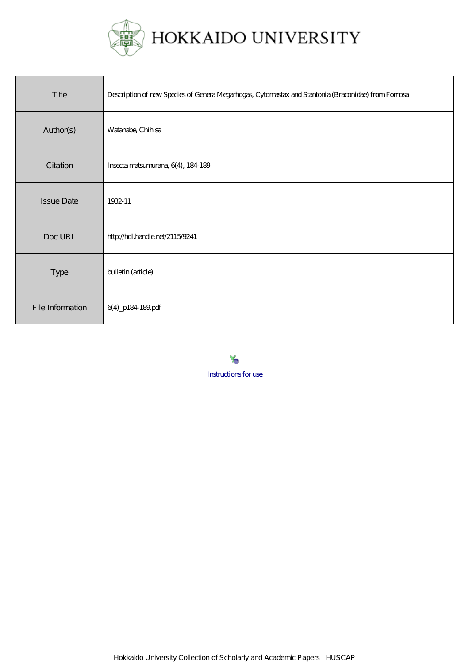

| Title             | Description of new Species of Genera Megarhogas, Cytomastax and Stantonia (Braconicle) from Formsa |
|-------------------|----------------------------------------------------------------------------------------------------|
| Author(s)         | Watanabe, Chihisa                                                                                  |
| Citation          | Insecta matsumurana, 6(4), 184-189                                                                 |
| <b>Issue Date</b> | 1932-11                                                                                            |
| Doc URL           | http://hdl.handle.net/2115/9241                                                                    |
| <b>Type</b>       | bulletin (article)                                                                                 |
| File Information  | 6(4)_p184-189.pdf                                                                                  |

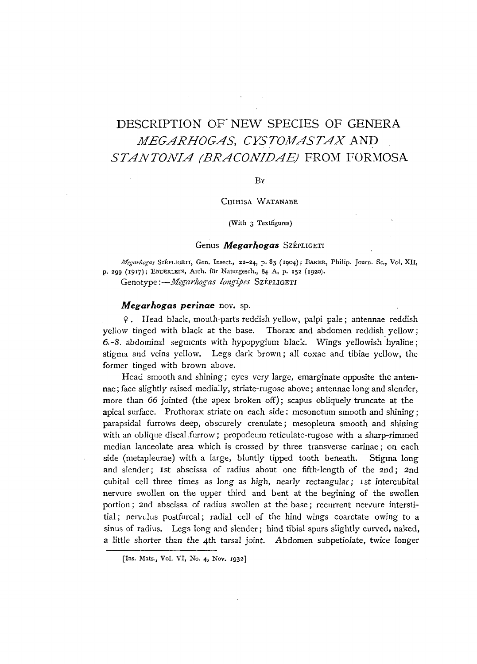# DESCRIPTION OF NEW SPECIES OF GENERA *MEGARHOGAS, CYSTOMASTAX* AND *STANTONIA (BRACONIDAEj* FROM FORMOSA

# By

#### CHIHlSA WATANABE

(With 3 Textfigures)

# Genus *Megarhogas* SzépLIGETI

*lIfegarhogas* SZEPLIGETI, Gen. Insect., 22-24, p. 83 (1904); RAKER, Philip. Journ. Sc., Vol. XII, p. 299 (1917); ENDERLEIN, Arch. für Naturgesch., 84 A, p. 152 (1920).

Genotype :- Megarhogas longipes SzépLIGETI

#### *Megarhogas perinae* nov. sp.

Y. Head black, mouth-parts reddish yellow, palpi pale; antennae reddish yellow tinged with black at the base. Thorax and abdomen reddish yellow; 6.-8. abdominal segments with hypopygium black. Wings yellowish hyaline; stigma and veins yellow. Legs dark brown; all coxae and tibiae yellow, the former tinged with brown above.

Head smooth and shining; eyes very large, emarginate opposite the antennae; face slightly raised medially, striate-rugose above; antennae long and slender, more than 66 jointed (the apex broken off); scapus obliquely truncate at the apical surface. Prothorax striate on each side; mesonotum smooth and shining; parapsidal furrows deep, obscurely crenulate; mesopleura smooth and shining with an oblique discal furrow; propodeum reticulate-rugose with a sharp-rimmed median lanceolate area which is crossed by three transverse carinae; on each side (metapleurae) with a large, bluntly tipped tooth beneath. Stigma long and slender; 1st abscissa of radius about one fifth-length of the 2nd; 2nd cubital cell three times as *long* as high, nearly rectangular; 1st intercubital nervure swollen on the upper third and bent at the begining of the swollen portion; 2nd abscissa of radius swollen at the base; recurrent nervure interstitial; nervulus postfurcal; radial cell of the hind wings coarctate owing to a sinus of radius. Legs long and slender; hind tibial spurs slightly curved, naked, a little shorter than the 4th tarsal joint. Abdomen subpetiolate, twice longer

<sup>[</sup>Ins. Mats., Vol. VI, No. 4, Nov. 1932]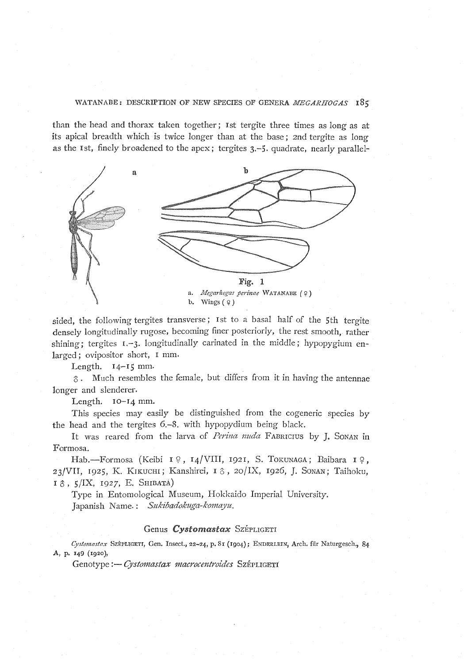WATANABE: DESCRIPTION OF NEW SPECIES OF GENERA *MEGARHOGAS* I8S

than the head and thorax taken together; 1st tergite three times as long as at its apical breadth which is twice longer than at the base; 2nd tergite as long as the 1st, finely broadened to the apex; tergites 3.-5. quadrate, nearly parallel-



sided, the following tergites transverse; 1st to a basal half of the 5th tergite densely longitudinally rugose, becoming finer posteriorly, the rest smooth, rather shining; tergites 1.-3. longitudinally carinated in the middle; hypopygium enlarged; ovipositor short, I mm.

Length. 14-15 mm.

 $\delta$ . Much resembles the female, but differs from it in having the antennae longer and slenderer.

Length. IO-14 mm.

This species may easily be distinguished from the cogeneric species by the head and the tergites 6.-8. with hypopydium being black.

It was reared from the larva of *Perina nuda* FABRICIUS by J. SONAN in Formosa.

Hab.-Formosa (Keibi 1º, 14/VIII, 1921, S. TOKUNAGA; Baibara 1º, *23/VII,* 1925, K. KIKUCHI; Kanshirei, I 0, 2o/IX, 1926, }. SONAN; Taihoku, 10, *5/1X,* 1927, E. SHIBATA)

Type in Entomological Museum, Hokkaido Imperial University. Japanish Name.: *Sukibadokuga-komayu.* 

#### Genus Cystomastax SzépLIGETI

Cystomastax SzEPLIGETI, Gen. Insect., 22-24, p. 81 (1904); ENDERLEIN, Arch. für Naturgesch., 84 A, p. 149 (1920),

Genotype :- Cystomastax macrocentroides SzEPLIGETI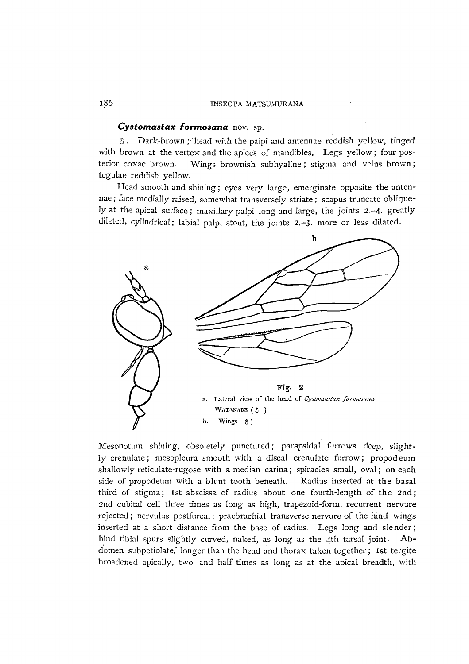# 186 INSECTA MATSUMURANA

#### *Cystomastax formosana* nov. sp.

o. Dark-brown ; 'head with the palpi and antennae reddish yellow, tinged with brown at the vertex and the apices of mandibles. Legs yellow; four posterior coxae brown. Wings brownish subhyaline; stigma and veins brown; tegulae reddish yellow.

Head smooth and shining; eyes very large, emerginate opposite the antennae; face medially raised, somewhat transversely striate; scapus truncate obliquely at the apical surface; maxillary palpi long and large, the joints 2.-4. greatly dilated, cylindrical; labial palpi stout, the joints 2.-3. more or less dilated.



Mesonotum shining, obsoletely punctured; parapsidal furrows deep, slightly crenulate; mesopleura smooth with a discal crenulate furrow; propod eum shallowly reticulate-rugose with a median carina; spiracles small, oval; on each side of propodeum with a blunt tooth beneath. Radius inserted at the basal third of stigma; 1st abscissa of radius about one fourth-length of the 2nd; 2nd cubital cell three times as long as high, trapezoid-form, recurrent nervure rejected; nervulus postfurcal; praebrachial transverse nervure of the hind wings inserted at a short distance from the base of radius. Legs long and slender; hind tibial spurs slightly curved, naked, as long as the 4th tarsal joint. Abdomen subpetiolate, longer than the head and thorax taken together; 1st tergite broadened apically, two and half times as long as at the apical breadth, with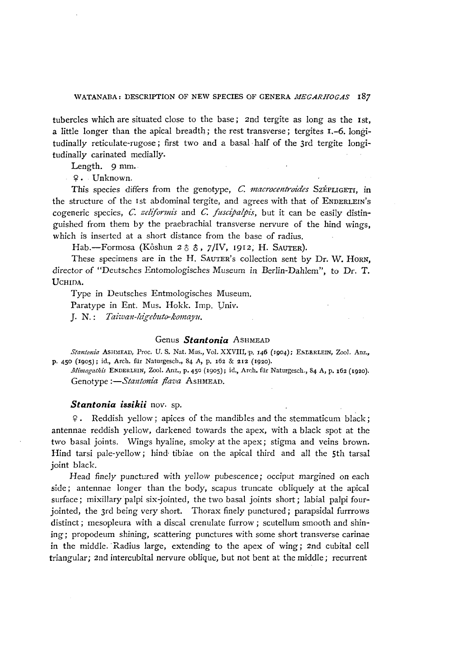# WATANABA: DESCRIPTION OF NEW SPECIES OF GENERA *MEGARHOGAS* 187

tubercles which are situated close to the base; 2nd tergite as long as the 1st, a little longer than the apical breadth; the rest transverse; tergites 1.-6. longitudinally reticulate-rugose; first two and a basal· half of the 3rd tergite longitudinally carinated medially.

Length. 9 mm.

 $\varphi$ . Unknown.

This species differs from the genotype, C. macrocentroides SzÉPLIGETI, in the structure of the 1st abdominal tergite, and agrees with that of ENDERLEIN'S cogeneric species, *C. zeliformis* and *C. fuscipalpis*, but it can be easily distinguished from them by the praebrachial transverse nervure of the hind wings, which is inserted at a short distance from the base of radius.

Hab.-Formosa (Kôshun 28 8, 7/IV, 1912, H. SAUTER).

These specimens are in the H. SAUTER'S collection sent by Dr. W. HORN, director of "Deutsches Entomologisches Museum in Berlin-Dahlem", to Dr. T. UCHIDA.

Type in Deutsches Entmologisches Museum.

Paratype in Ent. Mus. Hokk. Imp. *Vniv.* 

J. N.: *Taiwan-higebuto-komayu.* 

#### Genus *Stantonia* ASHMEAD

Stantonia ASHMEAD, Proc. U. S. Nat. Mus., Vol. XXVIII, p. 146 (1904); ENLERLEIN, Zool. Anz., p. 450 (1905); id., Arch. fiir Naturgesch., 84 A, p. 162 & 212 (1920).

*il1imngathis* ENDERLEIN, Zoo!. Anz., p. *450* (1905); id., Arch. flir Naturgesch., 84 A, p. 162 (1920). Genotype :- Stantonia flava ASHMEAD.

#### *Stantonia issikii* nov. sp.

Q. Reddish yellow; apices of the mandibles and the stemmaticum black; antennae reddish yellow, darkened towards the apex, with a black spot at the two basal joints. Wings hyaline, smoky at the apex; stigma and veins brown. Hind tarsi pale-yellow; hind· tibiae on the apical third and all the 5th tarsal joint black.

Head finely punctured with yellow pubescence; occiput margined on each side; antennae longer than the body, scapus truncate obliquely at the apical surface; mixillary palpi six-jointed, the two basal joints short; labial palpi fourjointed, the 3rd being very short. Thorax finely punctured; parapsidal furrrows distinct; mesopleura with a discal crenulate furrow; scutellum smooth and shining; propodeum shining, scattering punctures with some short transverse carinae in the middle. Radius large, extending to the apex of wing; 2nd cubital cell triangular; 2nd intercubital nervure oblique, but not bent at the middle; recurrent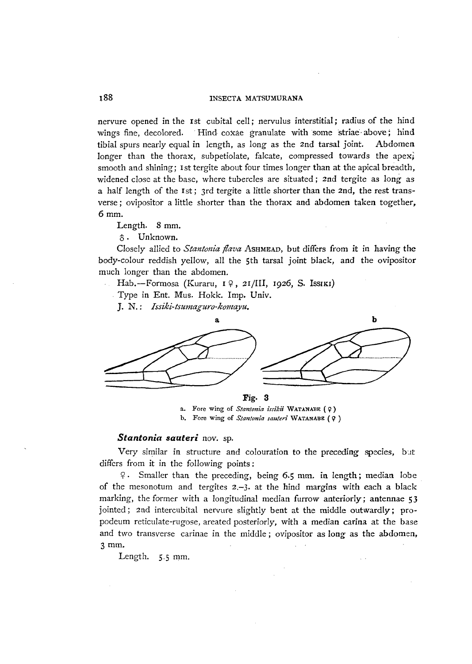## 188 INSECTA MATSUMURANA

nervure opened in the 1st cubital cell; nervulus interstitial; radius of the hind wings fine, decolored. Hind coxae granulate with some striae above; hind tibial spurs nearly equal in length, as long as the 2nd tarsal joint. Abdomen longer than the thorax, subpetiolate, falcate, compressed towards the apex; smooth and shining; 1st tergite about four times longer than at the apical breadth, widened close at the base, where tubercles are situated; 2nd tergite as long as a half length of the 1st; 3rd tergite a little shorter than the 2nd, the rest transverse; ovipositor a little shorter than the thorax and abdomen taken together, 6mm.

Length. 8 mm.

e. Unknown.

Closely allied to *Stantonia flava* ASHMEAD, but differs from it in having the body-colour reddish yellow, all the 5th tarsal joint black, and the ovipositor much longer than the abdomen.

Hab.-Formosa (Kuraru,  $I \varphi$ , 2I/III, 1926, S. Issiki)

. Type in Ent. Mus. Hokk. Imp. Univ.

J. N.: *Issiki-tsumaguro-komaytt.* 



a. Fore wing of *Stantonia issikii* WATANABE (9 ) b. Fore wing of *Stantonia sauteri* WATANABE (?)

# Stantonia sauteri nov. sp.

Very similar in structure and colouration to the preceding species, but differs from it in the following points:

 $\varphi$ . Smaller than the preceding, being 6.5 mm. in length; median lobe of the mesonotum and tergites  $2,-3$ . at the hind margins with each a black marking, the former with a longitudinal median furrow anteriorly; antennae 53 jointed; 2nd intercubital nervure slightly bent at the middle outwardly; propodeum reticulate-rugose, areated posteriorly, with a median carina at the base and two transverse carinae in the middle; ovipositor as long as the abdomen, 3 mm.

Length. 5.5 mm.